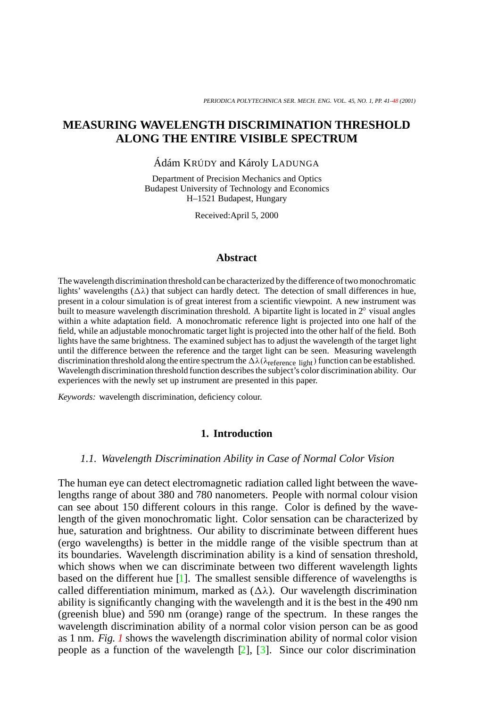# **MEASURING WAVELENGTH DISCRIMINATION THRESHOLD ALONG THE ENTIRE VISIBLE SPECTRUM**

Ádám KRÚDY and Károly LADUNGA

Department of Precision Mechanics and Optics Budapest University of Technology and Economics H–1521 Budapest, Hungary

Received:April 5, 2000

### **Abstract**

The wavelength discrimination threshold can be characterized by the difference of two monochromatic lights' wavelengths  $(\Delta \lambda)$  that subject can hardly detect. The detection of small differences in hue, present in a colour simulation is of great interest from a scientific viewpoint. A new instrument was built to measure wavelength discrimination threshold. A bipartite light is located in 2◦ visual angles within a white adaptation field. A monochromatic reference light is projected into one half of the field, while an adjustable monochromatic target light is projected into the other half of the field. Both lights have the same brightness. The examined subject has to adjust the wavelength of the target light until the difference between the reference and the target light can be seen. Measuring wavelength discrimination threshold along the entire spectrum the  $\Delta\lambda(\lambda_{\rm reference\ light})$  function can be established. Wavelength discrimination threshold function describes the subject's color discrimination ability. Our experiences with the newly set up instrument are presented in this paper.

*Keywords:* wavelength discrimination, deficiency colour.

### **1. Introduction**

### *1.1. Wavelength Discrimination Ability in Case of Normal Color Vision*

The human eye can detect electromagnetic radiation called light between the wavelengths range of about 380 and 780 nanometers. People with normal colour vision can see about 150 different colours in this range. Color is defined by the wavelength of the given monochromatic light. Color sensation can be characterized by hue, saturation and brightness. Our ability to discriminate between different hues (ergo wavelengths) is better in the middle range of the visible spectrum than at its boundaries. Wavelength discrimination ability is a kind of sensation threshold, which shows when we can discriminate between two different wavelength lights based on the different hue [\[1\]](#page-7-1). The smallest sensible difference of wavelengths is called differentiation minimum, marked as  $(\Delta \lambda)$ . Our wavelength discrimination ability is significantly changing with the wavelength and it is the best in the 490 nm (greenish blue) and 590 nm (orange) range of the spectrum. In these ranges the wavelength discrimination ability of a normal color vision person can be as good as 1 nm. *Fig. [1](#page-1-0)* shows the wavelength discrimination ability of normal color vision people as a function of the wavelength  $[2]$ ,  $[3]$ . Since our color discrimination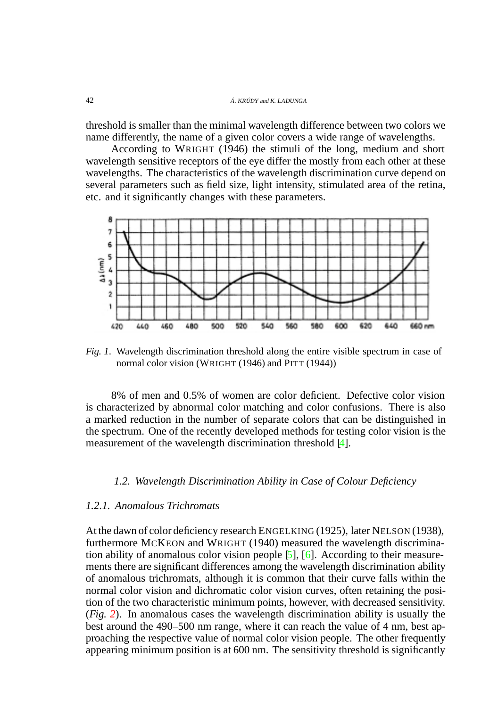threshold is smaller than the minimal wavelength difference between two colors we name differently, the name of a given color covers a wide range of wavelengths.

According to WRIGHT (1946) the stimuli of the long, medium and short wavelength sensitive receptors of the eye differ the mostly from each other at these wavelengths. The characteristics of the wavelength discrimination curve depend on several parameters such as field size, light intensity, stimulated area of the retina, etc. and it significantly changes with these parameters.



<span id="page-1-0"></span>*Fig. 1*. Wavelength discrimination threshold along the entire visible spectrum in case of normal color vision (WRIGHT (1946) and PITT (1944))

8% of men and 0.5% of women are color deficient. Defective color vision is characterized by abnormal color matching and color confusions. There is also a marked reduction in the number of separate colors that can be distinguished in the spectrum. One of the recently developed methods for testing color vision is the measurement of the wavelength discrimination threshold [\[4\]](#page-7-4).

### *1.2. Wavelength Discrimination Ability in Case of Colour Deficiency*

## *1.2.1. Anomalous Trichromats*

At the dawn of color deficiency research ENGELKING (1925), later NELSON (1938), furthermore MCKEON and WRIGHT (1940) measured the wavelength discrimination ability of anomalous color vision people [\[5\]](#page-7-5), [\[6\]](#page-7-6). According to their measurements there are significant differences among the wavelength discrimination ability of anomalous trichromats, although it is common that their curve falls within the normal color vision and dichromatic color vision curves, often retaining the position of the two characteristic minimum points, however, with decreased sensitivity. (*Fig. [2](#page-2-0)*). In anomalous cases the wavelength discrimination ability is usually the best around the 490–500 nm range, where it can reach the value of 4 nm, best approaching the respective value of normal color vision people. The other frequently appearing minimum position is at 600 nm. The sensitivity threshold is significantly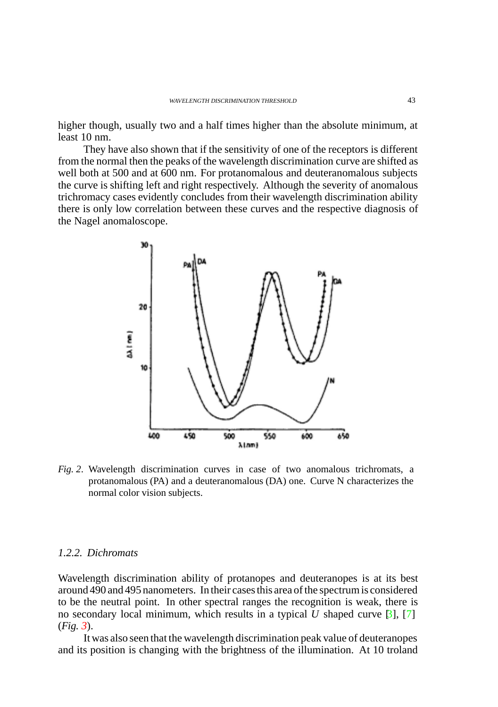higher though, usually two and a half times higher than the absolute minimum, at least 10 nm.

They have also shown that if the sensitivity of one of the receptors is different from the normal then the peaks of the wavelength discrimination curve are shifted as well both at 500 and at 600 nm. For protanomalous and deuteranomalous subjects the curve is shifting left and right respectively. Although the severity of anomalous trichromacy cases evidently concludes from their wavelength discrimination ability there is only low correlation between these curves and the respective diagnosis of the Nagel anomaloscope.



<span id="page-2-0"></span>*Fig. 2*. Wavelength discrimination curves in case of two anomalous trichromats, a protanomalous (PA) and a deuteranomalous (DA) one. Curve N characterizes the normal color vision subjects.

#### *1.2.2. Dichromats*

Wavelength discrimination ability of protanopes and deuteranopes is at its best around 490 and 495 nanometers. In their cases this area of the spectrum is considered to be the neutral point. In other spectral ranges the recognition is weak, there is no secondary local minimum, which results in a typical *U* shaped curve  $\lbrack 3 \rbrack$ , [\[7\]](#page-7-7) (*Fig. [3](#page-3-0)*).

It was also seen that the wavelength discrimination peak value of deuteranopes and its position is changing with the brightness of the illumination. At 10 troland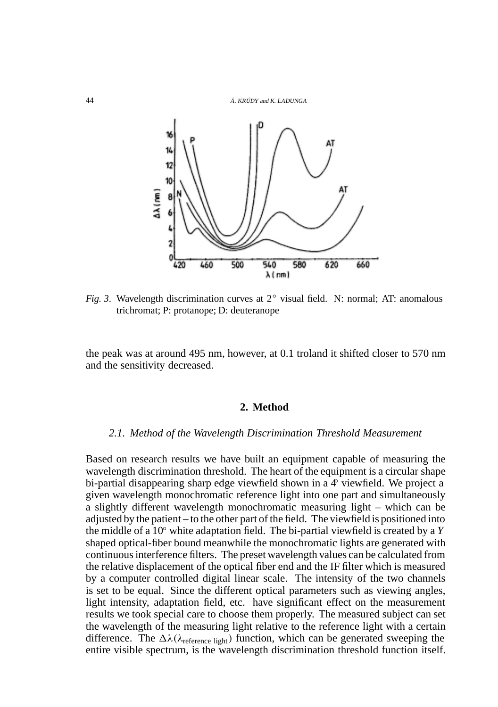44 Á. KRÚDY and K. LADUNGA



<span id="page-3-0"></span>*Fig. 3*. Wavelength discrimination curves at 2◦ visual field. N: normal; AT: anomalous trichromat; P: protanope; D: deuteranope

the peak was at around 495 nm, however, at 0.1 troland it shifted closer to 570 nm and the sensitivity decreased.

### **2. Method**

#### *2.1. Method of the Wavelength Discrimination Threshold Measurement*

Based on research results we have built an equipment capable of measuring the wavelength discrimination threshold. The heart of the equipment is a circular shape bi-partial disappearing sharp edge viewfield shown in a  $\mathcal{L}$  viewfield. We project a given wavelength monochromatic reference light into one part and simultaneously a slightly different wavelength monochromatic measuring light – which can be adjusted by the patient – to the other part of the field. The viewfield is positioned into the middle of a 10◦ white adaptation field. The bi-partial viewfield is created by a *Y* shaped optical-fiber bound meanwhile the monochromatic lights are generated with continuous interference filters. The preset wavelength values can be calculated from the relative displacement of the optical fiber end and the IF filter which is measured by a computer controlled digital linear scale. The intensity of the two channels is set to be equal. Since the different optical parameters such as viewing angles, light intensity, adaptation field, etc. have significant effect on the measurement results we took special care to choose them properly. The measured subject can set the wavelength of the measuring light relative to the reference light with a certain difference. The  $\Delta\lambda(\lambda_{\text{reference light}})$  function, which can be generated sweeping the entire visible spectrum, is the wavelength discrimination threshold function itself.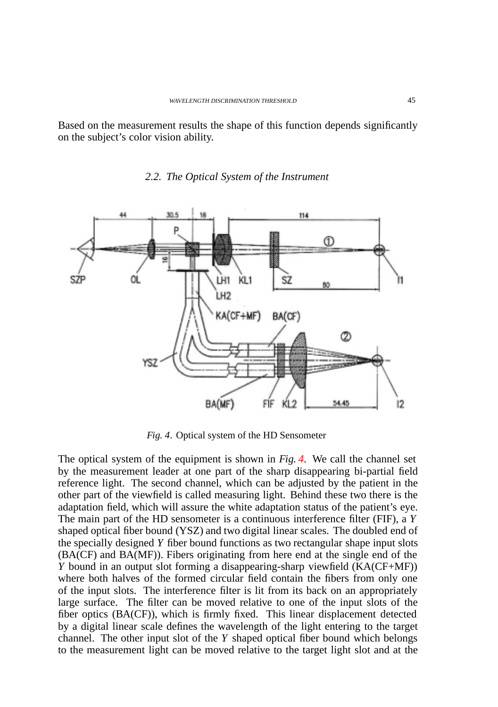Based on the measurement results the shape of this function depends significantly on the subject's color vision ability.

## *2.2. The Optical System of the Instrument*



<span id="page-4-0"></span>*Fig. 4*. Optical system of the HD Sensometer

The optical system of the equipment is shown in *Fig. [4](#page-4-0)*. We call the channel set by the measurement leader at one part of the sharp disappearing bi-partial field reference light. The second channel, which can be adjusted by the patient in the other part of the viewfield is called measuring light. Behind these two there is the adaptation field, which will assure the white adaptation status of the patient's eye. The main part of the HD sensometer is a continuous interference filter (FIF), a *Y* shaped optical fiber bound (YSZ) and two digital linear scales. The doubled end of the specially designed *Y* fiber bound functions as two rectangular shape input slots (BA(CF) and BA(MF)). Fibers originating from here end at the single end of the *Y* bound in an output slot forming a disappearing-sharp viewfield (KA(CF+MF)) where both halves of the formed circular field contain the fibers from only one of the input slots. The interference filter is lit from its back on an appropriately large surface. The filter can be moved relative to one of the input slots of the fiber optics (BA(CF)), which is firmly fixed. This linear displacement detected by a digital linear scale defines the wavelength of the light entering to the target channel. The other input slot of the *Y* shaped optical fiber bound which belongs to the measurement light can be moved relative to the target light slot and at the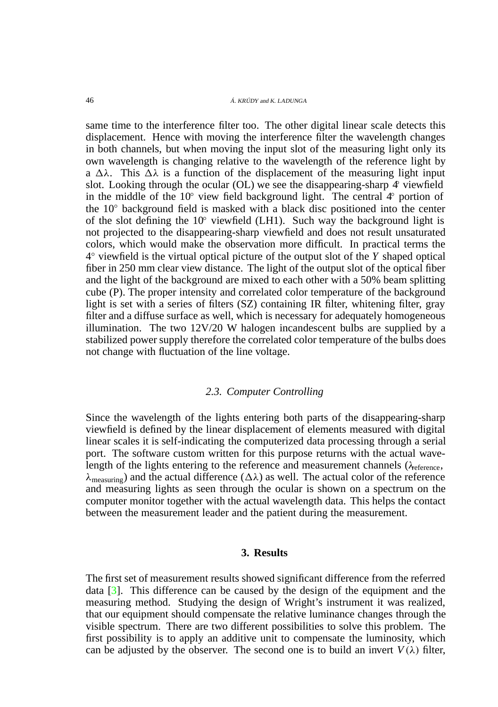same time to the interference filter too. The other digital linear scale detects this displacement. Hence with moving the interference filter the wavelength changes in both channels, but when moving the input slot of the measuring light only its own wavelength is changing relative to the wavelength of the reference light by a  $\Delta\lambda$ . This  $\Delta\lambda$  is a function of the displacement of the measuring light input slot. Looking through the ocular (OL) we see the disappearing-sharp  $\varphi$  viewfield in the middle of the 10 $\degree$  view field background light. The central  $4\degree$  portion of the 10◦ background field is masked with a black disc positioned into the center of the slot defining the 10 $\degree$  viewfield (LH1). Such way the background light is not projected to the disappearing-sharp viewfield and does not result unsaturated colors, which would make the observation more difficult. In practical terms the 4◦ viewfield is the virtual optical picture of the output slot of the *Y* shaped optical fiber in 250 mm clear view distance. The light of the output slot of the optical fiber and the light of the background are mixed to each other with a 50% beam splitting cube (P). The proper intensity and correlated color temperature of the background light is set with a series of filters (SZ) containing IR filter, whitening filter, gray filter and a diffuse surface as well, which is necessary for adequately homogeneous illumination. The two 12V/20 W halogen incandescent bulbs are supplied by a stabilized power supply therefore the correlated color temperature of the bulbs does not change with fluctuation of the line voltage.

### *2.3. Computer Controlling*

Since the wavelength of the lights entering both parts of the disappearing-sharp viewfield is defined by the linear displacement of elements measured with digital linear scales it is self-indicating the computerized data processing through a serial port. The software custom written for this purpose returns with the actual wavelength of the lights entering to the reference and measurement channels ( $\lambda$ <sub>eference</sub>,  $\lambda_{\text{measuring}}$ ) and the actual difference ( $\Delta\lambda$ ) as well. The actual color of the reference and measuring lights as seen through the ocular is shown on a spectrum on the computer monitor together with the actual wavelength data. This helps the contact between the measurement leader and the patient during the measurement.

## **3. Results**

The first set of measurement results showed significant difference from the referred data [\[3\]](#page-7-3). This difference can be caused by the design of the equipment and the measuring method. Studying the design of Wright's instrument it was realized, that our equipment should compensate the relative luminance changes through the visible spectrum. There are two different possibilities to solve this problem. The first possibility is to apply an additive unit to compensate the luminosity, which can be adjusted by the observer. The second one is to build an invert  $V(\lambda)$  filter,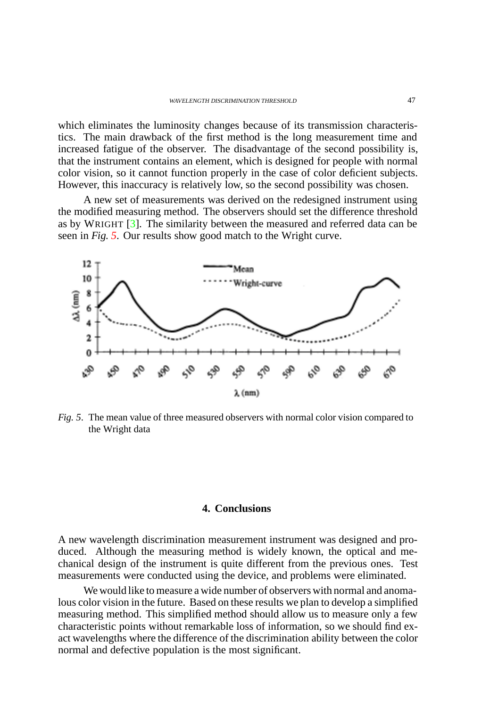which eliminates the luminosity changes because of its transmission characteristics. The main drawback of the first method is the long measurement time and increased fatigue of the observer. The disadvantage of the second possibility is, that the instrument contains an element, which is designed for people with normal color vision, so it cannot function properly in the case of color deficient subjects. However, this inaccuracy is relatively low, so the second possibility was chosen.

A new set of measurements was derived on the redesigned instrument using the modified measuring method. The observers should set the difference threshold as by WRIGHT  $[3]$ . The similarity between the measured and referred data can be seen in *Fig. [5](#page-6-0)*. Our results show good match to the Wright curve.



<span id="page-6-0"></span>*Fig. 5*. The mean value of three measured observers with normal color vision compared to the Wright data

#### **4. Conclusions**

A new wavelength discrimination measurement instrument was designed and produced. Although the measuring method is widely known, the optical and mechanical design of the instrument is quite different from the previous ones. Test measurements were conducted using the device, and problems were eliminated.

We would like to measure a wide number of observers with normal and anomalous color vision in the future. Based on these results we plan to develop a simplified measuring method. This simplified method should allow us to measure only a few characteristic points without remarkable loss of information, so we should find exact wavelengths where the difference of the discrimination ability between the color normal and defective population is the most significant.